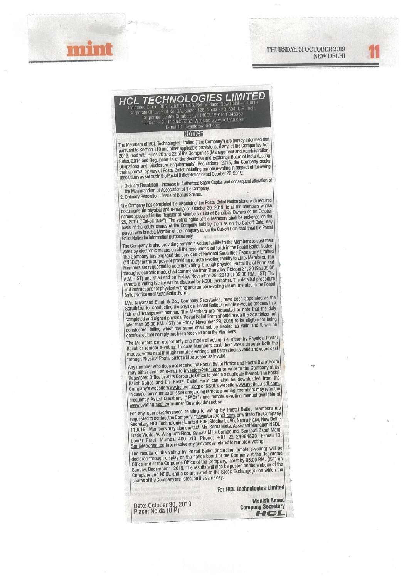



## **HCL TECHNOLOGIES LIMIT** egistered Office: 806, Siddharth, 96, Nehru Place, New Delhi - 11001<br>Corporate Office: Plot No. 3A. Sector 126, Noida - 201304, U.P. India<br>Corporate Identity Number: L74140DL1991PLC046369<br>Telefax: + 91 11 26436336; Website

## **NOTICE**

The Members of HCL Technologies Limited ("the Company") are hereby informed that<br>pursuant to Section 110 and other applicable provisions, if any, of the Companies Act,<br>2013, read with Rules 20 and 22 of the Companies (Mana

1. Ordinary Resolution - Increase in Authorized Share Capital and consequent alteration of the Memorandum of Association of the Company.

2. Ordinary Resolution - Issue of Bonus Shares.

The Company has completed the dispatch of the Postal Ballot Notice along with required documents (in physical and e-mails) on October 30, 2019, to all the members whose names appeared in the Register of Members / List of B person who is not a Member of the Company as on the Cut-off Date shall treat the Postal Ballot Notice for information purposes only.

The Company is also providing remote e-voting facility to the Members to cast their The Company is also providing remote e-voting facility to the Members to cast their<br>votes by electronic means on all the resolutions set forth in the Postal Ballot Notice.<br>The Company has engaged the services of National S

Mys. Nityanand Singh & Co., Company Secretaries, have been appointed as the<br>Scrutinizer for conducting the physical Postal Ballot / remote e-voting process in a<br>fair and transparent manner. The Members are requested to not considered that no reply has been received from the Members.

The Members can opt for only one mode of voting, i.e. either by Physical Postal<br>Ballot or remote e-voting. In case Members cast their votes through both the<br>modes, votes cast through remote e-voting shall be treated as val through Physical Postal Ballot will be treated as invalid.

Any member who does not receive the Postal Ballot Notice and Postal Ballot Form Any member who uses not receive the Postal Ballot Notice and Postal Ballot Porm<br>may either send an e-mail to <u>investors@hcl.com</u> or write to the Company at its<br>Registered Office or at its Corporate Office to obtain a dupli banot Nouce and the Postal band form can also be downloaded from the<br>Company's website www.hcitech.com or NSDL's website www.evoting.nsdl.com.<br>In case of any queries or issues regarding remote e-voting, members may refer t

For any queries/grievances relating to voting by Postal Ballot, Members are<br>requested to contact the Company at <u>investors@hcl.com</u>, or write to The Company<br>requested to contact the Company at <u>investors@hcl.com</u>, or whru

The results of the voting by Postal Ballot (including remote e-voting) will be<br>declared through display on the notice board of the Company at the Registered<br>Office and at the Corporate Office of the Company, latest by 05:0 Company and NSDL and also intimated to the Stock Exchange(s) on which the shares of the Company are listed, on the same day.

For HCL Technologies Limited

Date: October 30, 2019<br>Place: Noida (U.P.)

**Manish Anand Company Secretary** HCL